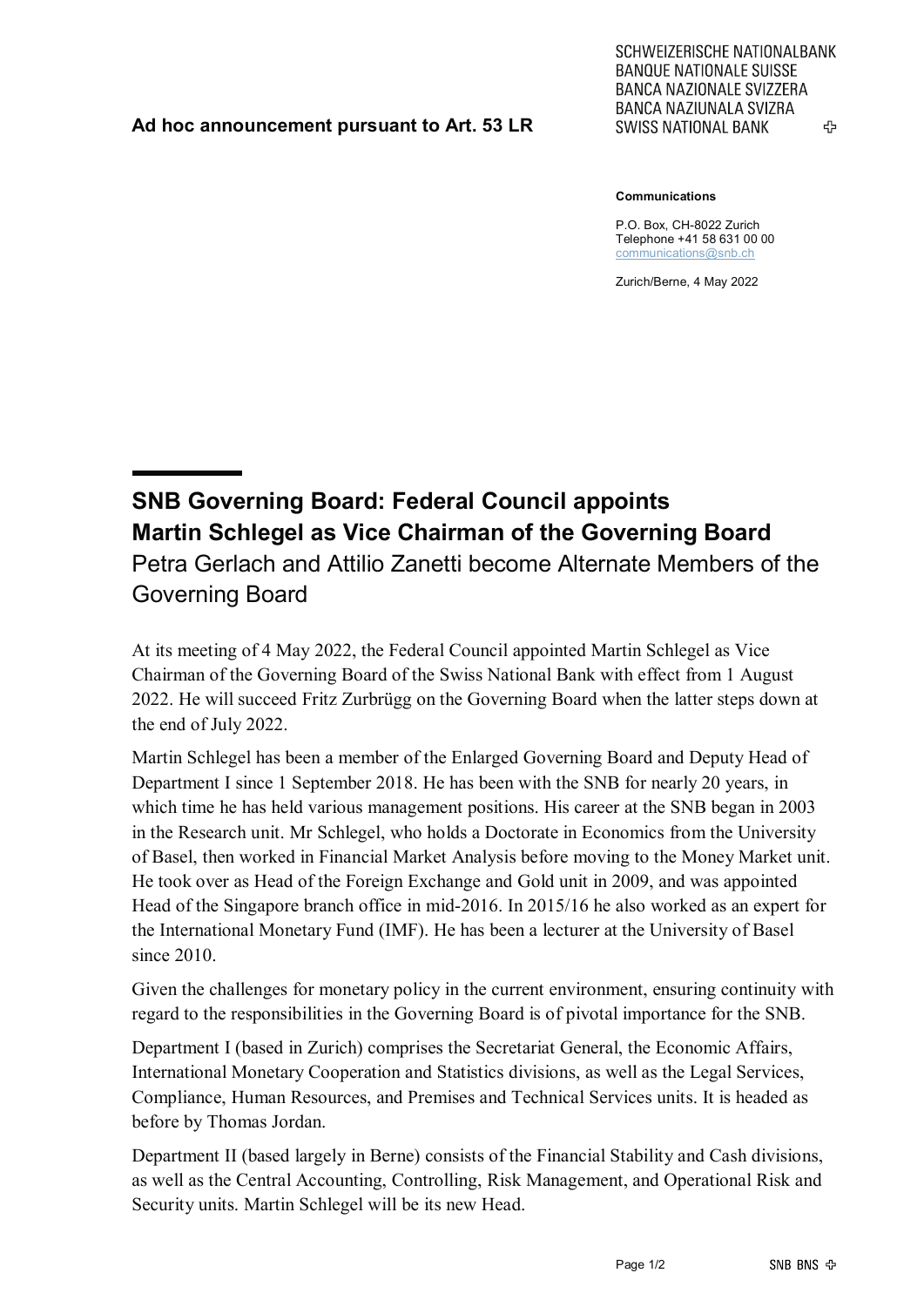## **Ad hoc announcement pursuant to Art. 53 LR**

SCHWEIZERISCHE NATIONALBANK **BANQUE NATIONALE SUISSE BANCA NAZIONALE SVIZZERA** BANCA NAZIUNALA SVIZRA ሩን **SWISS NATIONAL BANK** 

## **Communications**

P.O. Box, CH-8022 Zurich Telephone +41 58 631 00 00 [communications@snb.ch](mailto:communications@snb.ch)

Zurich/Berne, 4 May 2022

**SNB Governing Board: Federal Council appoints Martin Schlegel as Vice Chairman of the Governing Board** Petra Gerlach and Attilio Zanetti become Alternate Members of the Governing Board

At its meeting of 4 May 2022, the Federal Council appointed Martin Schlegel as Vice Chairman of the Governing Board of the Swiss National Bank with effect from 1 August 2022. He will succeed Fritz Zurbrügg on the Governing Board when the latter steps down at the end of July 2022.

Martin Schlegel has been a member of the Enlarged Governing Board and Deputy Head of Department I since 1 September 2018. He has been with the SNB for nearly 20 years, in which time he has held various management positions. His career at the SNB began in 2003 in the Research unit. Mr Schlegel, who holds a Doctorate in Economics from the University of Basel, then worked in Financial Market Analysis before moving to the Money Market unit. He took over as Head of the Foreign Exchange and Gold unit in 2009, and was appointed Head of the Singapore branch office in mid-2016. In 2015/16 he also worked as an expert for the International Monetary Fund (IMF). He has been a lecturer at the University of Basel since 2010.

Given the challenges for monetary policy in the current environment, ensuring continuity with regard to the responsibilities in the Governing Board is of pivotal importance for the SNB.

Department I (based in Zurich) comprises the Secretariat General, the Economic Affairs, International Monetary Cooperation and Statistics divisions, as well as the Legal Services, Compliance, Human Resources, and Premises and Technical Services units. It is headed as before by Thomas Jordan.

Department II (based largely in Berne) consists of the Financial Stability and Cash divisions, as well as the Central Accounting, Controlling, Risk Management, and Operational Risk and Security units. Martin Schlegel will be its new Head.